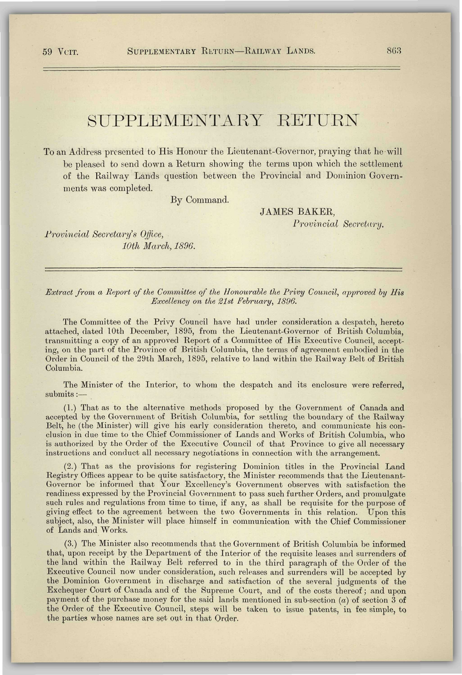## SUPPLEMENTARY RETURN

To an Address presented to His Honour the Lieutenant-Governor, praying that he will be pleased to send down a Return showing the terms upon which the settlement of the Railway Lands question between the Provincial and Dominion Governments was completed.

By Command.

JAMES BAKER, *Provincial Secretary.* 

*Provincial Secretary's Office, 10th March, 1896.* 

## *Extract from a Report of the Committee of the Honourable the Privy Council, approved by His Excellency on the 21st February, 1896.*

The Committee of the Privy Council have had under consideration a despatch, hereto attached, dated 10th December, 1895, from the Lieutenant-Governor of British Columbia, transmitting a copy of an approved Report of a Committee of His Executive Council, accepting, on the part of the Province of British Columbia, the terms of agreement embodied in the Order in Council of the 29th March, 1895, relative to land within the Railway Belt of British Columbia.

The Minister of the Interior, to whom the despatch and its enclosure were referred, submits:—

(1.) That as to the alternative methods proposed by the Government of Canada and accepted by the Government of British Columbia, for settling the boundary of the Railway Belt, he (the Minister) will give his early consideration thereto, and communicate his conclusion in due time to the Chief Commissioner of Lands and Works of British Columbia, who is authorized by the Order of the Executive Council of that Province to give all necessary instructions and conduct all necessary negotiations in connection with the arrangement.

(2.) That as the provisions for registering Dominion titles in the Provincial Land Registry Offices appear to be quite satisfactory, the Minister recommends that the Lieutenant-Governor be informed that Your Excellency's Government observes with satisfaction the readiness expressed by the Provincial Government to pass such further Orders, and promulgate such rules and regulations from time to time, if any, as shall be requisite for the purpose of giving effect to the agreement between the two Governments in this relation. Upon this subject, also, the Minister will place himself in communication with the Chief Commissioner of Lands and Works.

(3.) The Minister also recommends that the Government of British Columbia be informed that, upon receipt by the Department of the Interior of the requisite leases and surrenders of the land within the Railway Belt referred to in the third paragraph of the Order of the Executive Council now under consideration, such releases and surrenders will be accepted by the Dominion Government in discharge and satisfaction of the several judgments of the Exchequer Court of Canada and of the Supreme Court, and of the costs thereof; and upon payment of the purchase money for the said lands mentioned in sub-section *(a)* of section 3 of the Order of the Executive Council, steps will be taken to issue patents, in fee simple, to the parties whose names are set out in that Order.